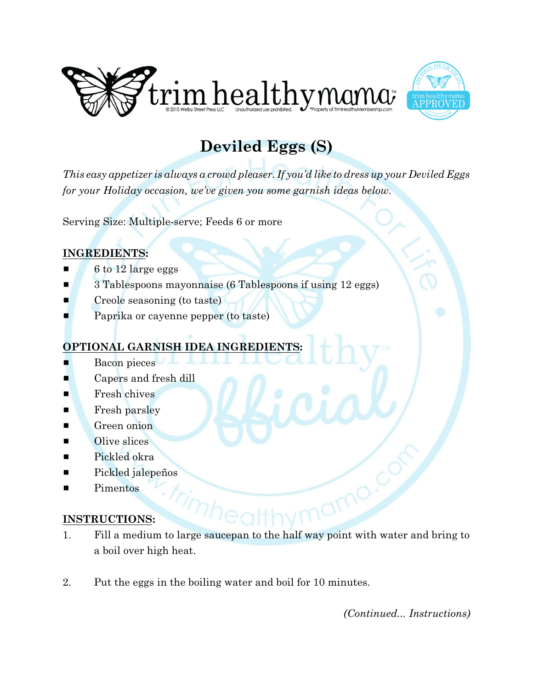



## **Deviled Eggs (S)**

*This easy appetizer is always a crowd pleaser. If you'd like to dress up your Deviled Eggs for your Holiday occasion, we've given you some garnish ideas below.* 

Serving Size: Multiple-serve; Feeds 6 or more

## **INGREDIENTS:**

- $\blacksquare$  6 to 12 large eggs
- **B** 3 Tablespoons mayonnaise (6 Tablespoons if using 12 eggs)
- **E** Creole seasoning (to taste)
- Paprika or cayenne pepper (to taste)

## **OPTIONAL GARNISH IDEA**

- Bacon pieces
- $\blacksquare$  Capers and fresh dill
- **Exercise Fresh chives**
- $\blacksquare$  Fresh parsley
- **Exercise Green onion**
- $\blacksquare$  Olive slices
- $\blacksquare$  Pickled okra
- **Example 1** Pickled jalepeños
- Pimentos

## **INSTRUCTIONS:**

- 1. Fill a medium to large saucepan to the half way point with water and bring to a boil over high heat.
- 2. Put the eggs in the boiling water and boil for 10 minutes.

*(Continued... Instructions)*

imo.c